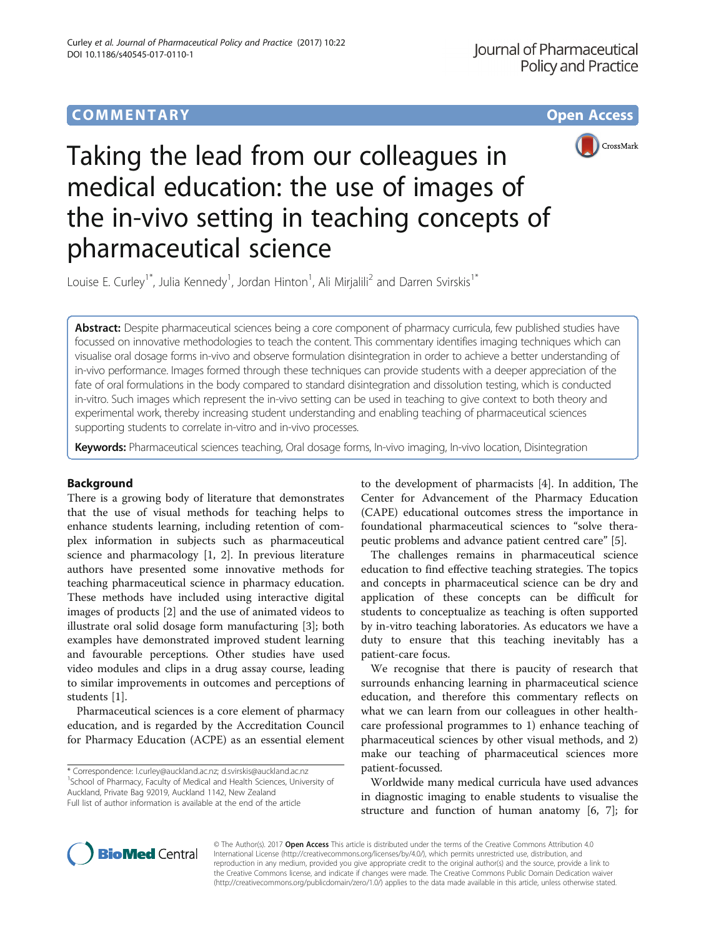# **COMMENTARY COMMENTARY Open Access**



# Taking the lead from our colleagues in medical education: the use of images of the in-vivo setting in teaching concepts of pharmaceutical science

Louise E. Curley<sup>1\*</sup>, Julia Kennedy<sup>1</sup>, Jordan Hinton<sup>1</sup>, Ali Mirjalili<sup>2</sup> and Darren Svirskis<sup>1\*</sup>

Abstract: Despite pharmaceutical sciences being a core component of pharmacy curricula, few published studies have focussed on innovative methodologies to teach the content. This commentary identifies imaging techniques which can visualise oral dosage forms in-vivo and observe formulation disintegration in order to achieve a better understanding of in-vivo performance. Images formed through these techniques can provide students with a deeper appreciation of the fate of oral formulations in the body compared to standard disintegration and dissolution testing, which is conducted in-vitro. Such images which represent the in-vivo setting can be used in teaching to give context to both theory and experimental work, thereby increasing student understanding and enabling teaching of pharmaceutical sciences supporting students to correlate in-vitro and in-vivo processes.

Keywords: Pharmaceutical sciences teaching, Oral dosage forms, In-vivo imaging, In-vivo location, Disintegration

## Background

There is a growing body of literature that demonstrates that the use of visual methods for teaching helps to enhance students learning, including retention of complex information in subjects such as pharmaceutical science and pharmacology [[1, 2](#page-3-0)]. In previous literature authors have presented some innovative methods for teaching pharmaceutical science in pharmacy education. These methods have included using interactive digital images of products [[2\]](#page-3-0) and the use of animated videos to illustrate oral solid dosage form manufacturing [\[3](#page-3-0)]; both examples have demonstrated improved student learning and favourable perceptions. Other studies have used video modules and clips in a drug assay course, leading to similar improvements in outcomes and perceptions of students [\[1](#page-3-0)].

Pharmaceutical sciences is a core element of pharmacy education, and is regarded by the Accreditation Council for Pharmacy Education (ACPE) as an essential element

\* Correspondence: [l.curley@auckland.ac.nz](mailto:l.curley@auckland.ac.nz); [d.svirskis@auckland.ac.nz](mailto:d.svirskis@auckland.ac.nz) <sup>1</sup> <sup>1</sup>School of Pharmacy, Faculty of Medical and Health Sciences, University of Auckland, Private Bag 92019, Auckland 1142, New Zealand Full list of author information is available at the end of the article

to the development of pharmacists [\[4](#page-3-0)]. In addition, The Center for Advancement of the Pharmacy Education (CAPE) educational outcomes stress the importance in foundational pharmaceutical sciences to "solve therapeutic problems and advance patient centred care" [[5\]](#page-4-0).

The challenges remains in pharmaceutical science education to find effective teaching strategies. The topics and concepts in pharmaceutical science can be dry and application of these concepts can be difficult for students to conceptualize as teaching is often supported by in-vitro teaching laboratories. As educators we have a duty to ensure that this teaching inevitably has a patient-care focus.

We recognise that there is paucity of research that surrounds enhancing learning in pharmaceutical science education, and therefore this commentary reflects on what we can learn from our colleagues in other healthcare professional programmes to 1) enhance teaching of pharmaceutical sciences by other visual methods, and 2) make our teaching of pharmaceutical sciences more patient-focussed.

Worldwide many medical curricula have used advances in diagnostic imaging to enable students to visualise the structure and function of human anatomy [\[6](#page-4-0), [7](#page-4-0)]; for



© The Author(s). 2017 Open Access This article is distributed under the terms of the Creative Commons Attribution 4.0 International License [\(http://creativecommons.org/licenses/by/4.0/](http://creativecommons.org/licenses/by/4.0/)), which permits unrestricted use, distribution, and reproduction in any medium, provided you give appropriate credit to the original author(s) and the source, provide a link to the Creative Commons license, and indicate if changes were made. The Creative Commons Public Domain Dedication waiver [\(http://creativecommons.org/publicdomain/zero/1.0/](http://creativecommons.org/publicdomain/zero/1.0/)) applies to the data made available in this article, unless otherwise stated.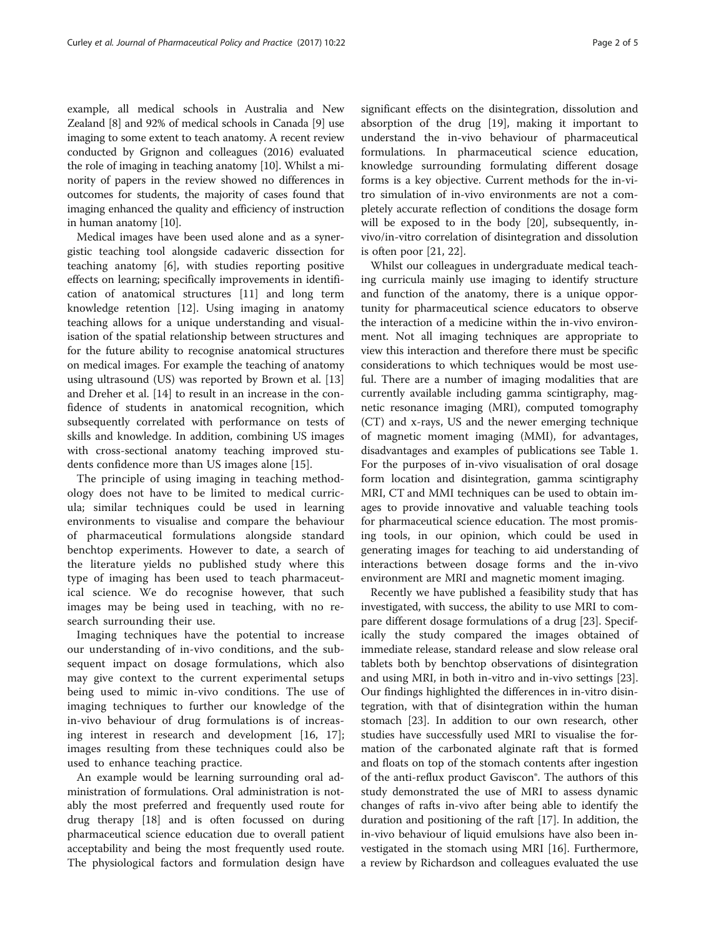example, all medical schools in Australia and New Zealand [[8](#page-4-0)] and 92% of medical schools in Canada [\[9](#page-4-0)] use imaging to some extent to teach anatomy. A recent review conducted by Grignon and colleagues (2016) evaluated the role of imaging in teaching anatomy [\[10](#page-4-0)]. Whilst a minority of papers in the review showed no differences in outcomes for students, the majority of cases found that imaging enhanced the quality and efficiency of instruction in human anatomy [\[10\]](#page-4-0).

Medical images have been used alone and as a synergistic teaching tool alongside cadaveric dissection for teaching anatomy [\[6](#page-4-0)], with studies reporting positive effects on learning; specifically improvements in identification of anatomical structures [\[11\]](#page-4-0) and long term knowledge retention [[12](#page-4-0)]. Using imaging in anatomy teaching allows for a unique understanding and visualisation of the spatial relationship between structures and for the future ability to recognise anatomical structures on medical images. For example the teaching of anatomy using ultrasound (US) was reported by Brown et al. [[13](#page-4-0)] and Dreher et al. [\[14\]](#page-4-0) to result in an increase in the confidence of students in anatomical recognition, which subsequently correlated with performance on tests of skills and knowledge. In addition, combining US images with cross-sectional anatomy teaching improved students confidence more than US images alone [\[15](#page-4-0)].

The principle of using imaging in teaching methodology does not have to be limited to medical curricula; similar techniques could be used in learning environments to visualise and compare the behaviour of pharmaceutical formulations alongside standard benchtop experiments. However to date, a search of the literature yields no published study where this type of imaging has been used to teach pharmaceutical science. We do recognise however, that such images may be being used in teaching, with no research surrounding their use.

Imaging techniques have the potential to increase our understanding of in-vivo conditions, and the subsequent impact on dosage formulations, which also may give context to the current experimental setups being used to mimic in-vivo conditions. The use of imaging techniques to further our knowledge of the in-vivo behaviour of drug formulations is of increasing interest in research and development [\[16](#page-4-0), [17](#page-4-0)]; images resulting from these techniques could also be used to enhance teaching practice.

An example would be learning surrounding oral administration of formulations. Oral administration is notably the most preferred and frequently used route for drug therapy [[18\]](#page-4-0) and is often focussed on during pharmaceutical science education due to overall patient acceptability and being the most frequently used route. The physiological factors and formulation design have significant effects on the disintegration, dissolution and absorption of the drug [[19\]](#page-4-0), making it important to understand the in-vivo behaviour of pharmaceutical formulations. In pharmaceutical science education, knowledge surrounding formulating different dosage forms is a key objective. Current methods for the in-vitro simulation of in-vivo environments are not a completely accurate reflection of conditions the dosage form will be exposed to in the body [\[20](#page-4-0)], subsequently, invivo/in-vitro correlation of disintegration and dissolution is often poor [\[21, 22\]](#page-4-0).

Whilst our colleagues in undergraduate medical teaching curricula mainly use imaging to identify structure and function of the anatomy, there is a unique opportunity for pharmaceutical science educators to observe the interaction of a medicine within the in-vivo environment. Not all imaging techniques are appropriate to view this interaction and therefore there must be specific considerations to which techniques would be most useful. There are a number of imaging modalities that are currently available including gamma scintigraphy, magnetic resonance imaging (MRI), computed tomography (CT) and x-rays, US and the newer emerging technique of magnetic moment imaging (MMI), for advantages, disadvantages and examples of publications see Table [1](#page-2-0). For the purposes of in-vivo visualisation of oral dosage form location and disintegration, gamma scintigraphy MRI, CT and MMI techniques can be used to obtain images to provide innovative and valuable teaching tools for pharmaceutical science education. The most promising tools, in our opinion, which could be used in generating images for teaching to aid understanding of interactions between dosage forms and the in-vivo environment are MRI and magnetic moment imaging.

Recently we have published a feasibility study that has investigated, with success, the ability to use MRI to compare different dosage formulations of a drug [\[23](#page-4-0)]. Specifically the study compared the images obtained of immediate release, standard release and slow release oral tablets both by benchtop observations of disintegration and using MRI, in both in-vitro and in-vivo settings [\[23](#page-4-0)]. Our findings highlighted the differences in in-vitro disintegration, with that of disintegration within the human stomach [\[23](#page-4-0)]. In addition to our own research, other studies have successfully used MRI to visualise the formation of the carbonated alginate raft that is formed and floats on top of the stomach contents after ingestion of the anti-reflux product Gaviscon®. The authors of this study demonstrated the use of MRI to assess dynamic changes of rafts in-vivo after being able to identify the duration and positioning of the raft [[17\]](#page-4-0). In addition, the in-vivo behaviour of liquid emulsions have also been investigated in the stomach using MRI [[16](#page-4-0)]. Furthermore, a review by Richardson and colleagues evaluated the use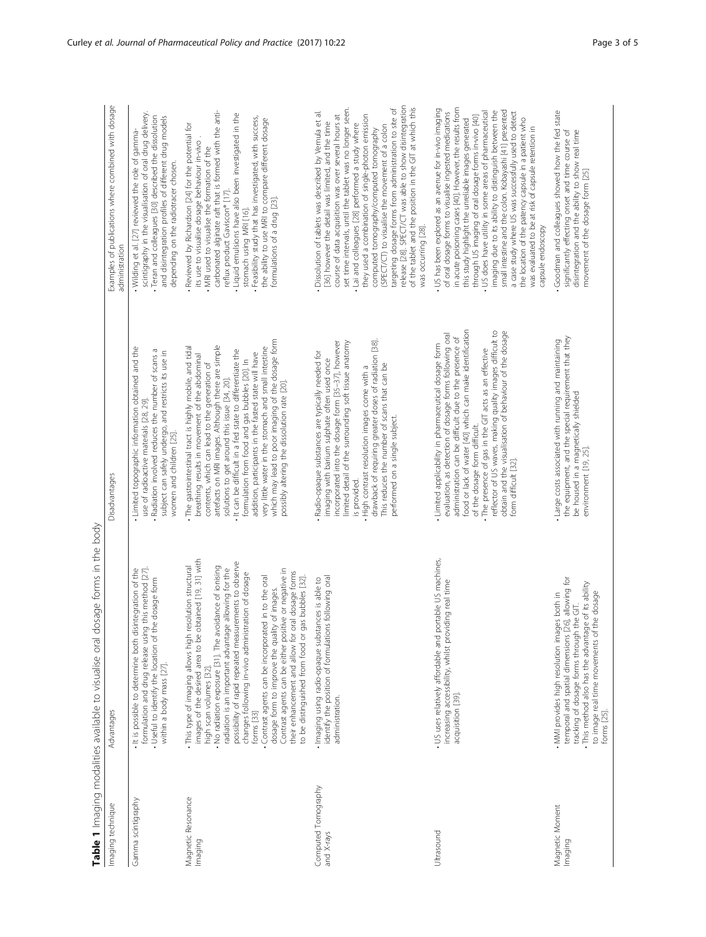| S                                                                  |  |
|--------------------------------------------------------------------|--|
|                                                                    |  |
|                                                                    |  |
| J<br>J                                                             |  |
| ;<br>;<br>)<br>)                                                   |  |
| j<br>j                                                             |  |
| ;<br>);<br>);                                                      |  |
| Į<br>j                                                             |  |
| てくろ とか こころかん そうごうてき こうごう こうごうこうごう こうごうこう こうごう こうごう こうごうてん Sun でんこう |  |
|                                                                    |  |
|                                                                    |  |
|                                                                    |  |

<span id="page-2-0"></span>

| Imaging technique                 | Advantages                                                                                                                                                                                                                                                                                                                                                                                                                                                                                                                                                                                                                                                                 | Disadvantages                                                                                                                                                                                                                                                                                                                                                                                                                                                                                                                                                                                       | Examples of publications where combined with dosage<br>administration                                                                                                                                                                                                                                                                                                                                                                                                                                                                                                                                                                                                  |
|-----------------------------------|----------------------------------------------------------------------------------------------------------------------------------------------------------------------------------------------------------------------------------------------------------------------------------------------------------------------------------------------------------------------------------------------------------------------------------------------------------------------------------------------------------------------------------------------------------------------------------------------------------------------------------------------------------------------------|-----------------------------------------------------------------------------------------------------------------------------------------------------------------------------------------------------------------------------------------------------------------------------------------------------------------------------------------------------------------------------------------------------------------------------------------------------------------------------------------------------------------------------------------------------------------------------------------------------|------------------------------------------------------------------------------------------------------------------------------------------------------------------------------------------------------------------------------------------------------------------------------------------------------------------------------------------------------------------------------------------------------------------------------------------------------------------------------------------------------------------------------------------------------------------------------------------------------------------------------------------------------------------------|
| Gamma scintigraphy                | formulation and drug release using this method [27].<br>. It is possible to determine both disintegration of the<br>the dosage form<br>Useful to identify the location of<br>within a body mass [27].                                                                                                                                                                                                                                                                                                                                                                                                                                                                      | - Limited topographic information obtained and the<br>Radiation involved reduces the number of scans a<br>subject can safely undergo, and restricts its use in<br>use of radioactive materials [28, 29].<br>women and children [25].                                                                                                                                                                                                                                                                                                                                                                | scintigraphy in the visualisation of oral drug delivery.<br>· Teran and colleagues [30] described the dissolution<br>and disintegration profiles of different drug models<br>. Wilding et al. [27] reviewed the role of gamma-<br>depending on the radiotracer chosen.                                                                                                                                                                                                                                                                                                                                                                                                 |
| Magnetic Resonance<br>Imaging     | images of the desired area to be obtained [19, 31] with<br>possibility of rapid repeated measurements to observe<br>avoidance of ionising<br>This type of imaging allows high resolution structural<br>radiation is an important advantage allowing for the<br>Contrast agents can be either positive or negative in<br>their enhancement and allow for oral dosage forms<br>changes following in-vivo administration of dosage<br>Contrast agents can be incorporated in to the oral<br>to be distinguished from food or gas bubbles [32].<br>dosage form to improve the quality of images.<br>. No radiation exposure [31]. The<br>high scan volumes [32].<br>forms [33] | which may lead to poor imaging of the dosage form<br>artefacts on MRI images. Although there are simple<br>. The gastrointestinal tract is highly mobile, and tidal<br>very little water in the stomach and small intestine<br>It can be difficult in a fed state to differentiate the<br>addition, participants in the fasted state will have<br>breathing results in movement of the abdominal<br>formulation from food and gas bubbles [20]. In<br>contents, which can lead to the generation of<br>solutions to get around this issue [34, 20].<br>possibly altering the dissolution rate [20]. | carbonated alginate raft that is formed with the anti-<br>- Liquid emulsions have also been investigated in the<br>· Feasibility study that has investigated, with success,<br>the ability to use MRI to compare different dosage<br>Reviewed by Richardson [24] for the potential for<br>its use to visualise dosage behaviour in-vivo.<br>. MRI used to visualise the formation of the<br>reflux product Gaviscon® [17].<br>formulations of a drug [23].<br>stomach using MRI [16].                                                                                                                                                                                  |
| Computed Tomography<br>and X-rays | identify the position of formulations following oral<br>Imaging using radio-opaque substances is able to<br>administration.                                                                                                                                                                                                                                                                                                                                                                                                                                                                                                                                                | drawback of requiring greater doses of radiation [38].<br>incorporated into the dosage form [35-37], however<br>limited detail of the surrounding soft tissue anatomy<br>Radio-opaque substances are typically needed for<br>imaging with barium sulphate often used once<br>This reduces the number of scans that can be<br>High contrast resolution images come with a<br>performed on a single subject.<br>is provided.                                                                                                                                                                          | release [28]. SPECT/CT was able to show disintegration<br>of the tablet and the position in the GIT at which this<br>set time intervals, until the tablet was no longer seen.<br>targeting dosage forms from administration to site of<br>- Dissolution of tablets was described by Vemula et al.<br>course of data acquisition was over several hours at<br>they used a combination of single-photon emission<br>[36] however the detail was limited, and the time<br>· Lai and colleagues [28] performed a study where<br>(SPECT/CT) to visualise the movement of a colon<br>computed tomography/computed tomography<br>was occurring [28].                          |
| Ultrasound                        | portable US machines,<br>increasing accessibility, whilst providing real time<br>. US uses relatively affordable and<br>acquisition [39].                                                                                                                                                                                                                                                                                                                                                                                                                                                                                                                                  | food or lack of water [40] which can make identification<br>reflector of US waves, making quality images difficult to<br>obtain and the visualisation of behaviour of the dosage<br>evaluation, as detection of dosage forms following oral<br>administration can be difficult due to the presence of<br>· Limited applicability in pharmaceutical dosage form<br>. The presence of gas in the GIT acts as an effective<br>of the dosage form difficult.<br>form difficult [32].                                                                                                                    | in acute poisoning cases [40]. However, the results from<br>US has been explored as an avenue for in-vivo imaging<br>small intestine and the colon. Kobayashi [41] presented<br>imaging due to its ability to distinguish between the<br>of oral dosage forms to visualise ingested medications<br>· US does have utility in some areas of pharmaceutical<br>a case study where US was successfully used to detect<br>through US imaging of oral dosage forms in-vivo [40]<br>the location of the patency capsule in a patient who<br>this study highlight the unreliable images generated<br>was evaluated to be at risk of capsule retention in<br>capsule endoscopy |
| Magnetic Moment<br>Imaging        | [26], allowing for<br>. This method also has the advantage of its ability<br>to image real time movements of the dosage<br>. MMI provides high resolution images both in<br>tracking of dosage forms through the GIT.<br>temporal and spatial dimensions<br>forms [25].                                                                                                                                                                                                                                                                                                                                                                                                    | the equipment, and the special requirement that they<br>Large costs associated with running and maintaining<br>be housed in a magnetically shielded<br>environment [19, 25].                                                                                                                                                                                                                                                                                                                                                                                                                        | Goodman and colleagues showed how the fed state<br>disintegration and the ability to show real time<br>significantly effecting onset and time course of<br>movement of the dosage form [25]                                                                                                                                                                                                                                                                                                                                                                                                                                                                            |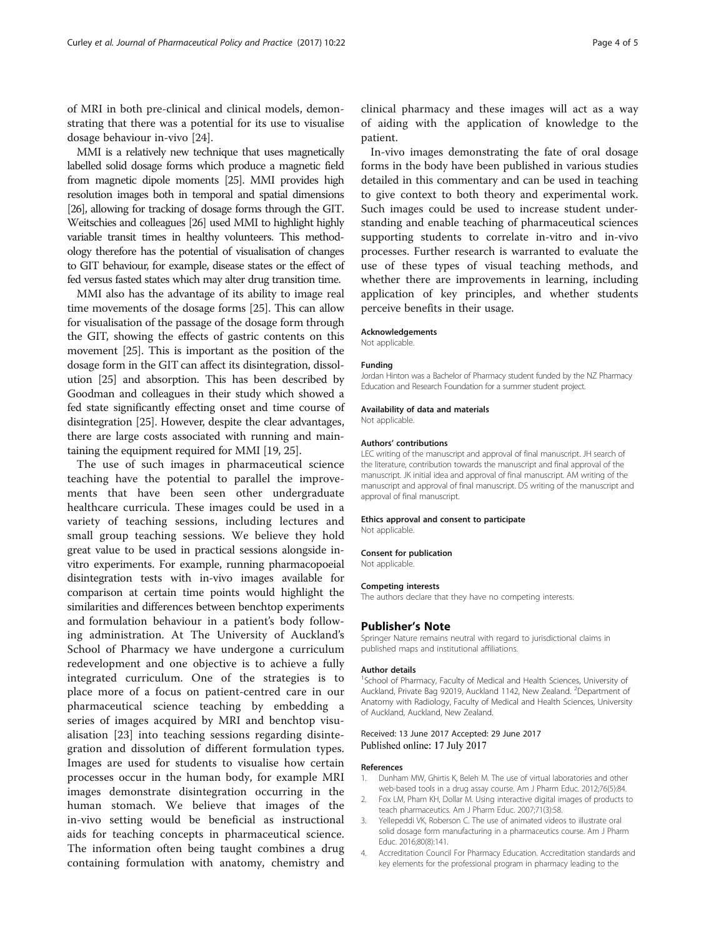<span id="page-3-0"></span>of MRI in both pre-clinical and clinical models, demonstrating that there was a potential for its use to visualise dosage behaviour in-vivo [[24\]](#page-4-0).

MMI is a relatively new technique that uses magnetically labelled solid dosage forms which produce a magnetic field from magnetic dipole moments [\[25](#page-4-0)]. MMI provides high resolution images both in temporal and spatial dimensions [[26\]](#page-4-0), allowing for tracking of dosage forms through the GIT. Weitschies and colleagues [\[26](#page-4-0)] used MMI to highlight highly variable transit times in healthy volunteers. This methodology therefore has the potential of visualisation of changes to GIT behaviour, for example, disease states or the effect of fed versus fasted states which may alter drug transition time.

MMI also has the advantage of its ability to image real time movements of the dosage forms [[25](#page-4-0)]. This can allow for visualisation of the passage of the dosage form through the GIT, showing the effects of gastric contents on this movement [\[25](#page-4-0)]. This is important as the position of the dosage form in the GIT can affect its disintegration, dissolution [[25\]](#page-4-0) and absorption. This has been described by Goodman and colleagues in their study which showed a fed state significantly effecting onset and time course of disintegration [[25](#page-4-0)]. However, despite the clear advantages, there are large costs associated with running and maintaining the equipment required for MMI [\[19, 25](#page-4-0)].

The use of such images in pharmaceutical science teaching have the potential to parallel the improvements that have been seen other undergraduate healthcare curricula. These images could be used in a variety of teaching sessions, including lectures and small group teaching sessions. We believe they hold great value to be used in practical sessions alongside invitro experiments. For example, running pharmacopoeial disintegration tests with in-vivo images available for comparison at certain time points would highlight the similarities and differences between benchtop experiments and formulation behaviour in a patient's body following administration. At The University of Auckland's School of Pharmacy we have undergone a curriculum redevelopment and one objective is to achieve a fully integrated curriculum. One of the strategies is to place more of a focus on patient-centred care in our pharmaceutical science teaching by embedding a series of images acquired by MRI and benchtop visualisation [\[23](#page-4-0)] into teaching sessions regarding disintegration and dissolution of different formulation types. Images are used for students to visualise how certain processes occur in the human body, for example MRI images demonstrate disintegration occurring in the human stomach. We believe that images of the in-vivo setting would be beneficial as instructional aids for teaching concepts in pharmaceutical science. The information often being taught combines a drug containing formulation with anatomy, chemistry and

clinical pharmacy and these images will act as a way of aiding with the application of knowledge to the patient.

In-vivo images demonstrating the fate of oral dosage forms in the body have been published in various studies detailed in this commentary and can be used in teaching to give context to both theory and experimental work. Such images could be used to increase student understanding and enable teaching of pharmaceutical sciences supporting students to correlate in-vitro and in-vivo processes. Further research is warranted to evaluate the use of these types of visual teaching methods, and whether there are improvements in learning, including application of key principles, and whether students perceive benefits in their usage.

#### Acknowledgements

Not applicable.

#### Funding

Jordan Hinton was a Bachelor of Pharmacy student funded by the NZ Pharmacy Education and Research Foundation for a summer student project.

### Availability of data and materials

Not applicable.

#### Authors' contributions

LEC writing of the manuscript and approval of final manuscript. JH search of the literature, contribution towards the manuscript and final approval of the manuscript. JK initial idea and approval of final manuscript. AM writing of the manuscript and approval of final manuscript. DS writing of the manuscript and approval of final manuscript.

#### Ethics approval and consent to participate

Not applicable.

#### Consent for publication

Not applicable.

#### Competing interests

The authors declare that they have no competing interests.

#### Publisher's Note

Springer Nature remains neutral with regard to jurisdictional claims in published maps and institutional affiliations.

#### Author details

<sup>1</sup>School of Pharmacy, Faculty of Medical and Health Sciences, University of Auckland, Private Bag 92019, Auckland 1142, New Zealand. <sup>2</sup>Department of Anatomy with Radiology, Faculty of Medical and Health Sciences, University of Auckland, Auckland, New Zealand.

#### Received: 13 June 2017 Accepted: 29 June 2017 Published online: 17 July 2017

#### References

- 1. Dunham MW, Ghirtis K, Beleh M. The use of virtual laboratories and other web-based tools in a drug assay course. Am J Pharm Educ. 2012;76(5):84.
- 2. Fox LM, Pham KH, Dollar M. Using interactive digital images of products to teach pharmaceutics. Am J Pharm Educ. 2007;71(3):58.
- 3. Yellepeddi VK, Roberson C. The use of animated videos to illustrate oral solid dosage form manufacturing in a pharmaceutics course. Am J Pharm Educ. 2016;80(8):141.
- 4. Accreditation Council For Pharmacy Education. Accreditation standards and key elements for the professional program in pharmacy leading to the